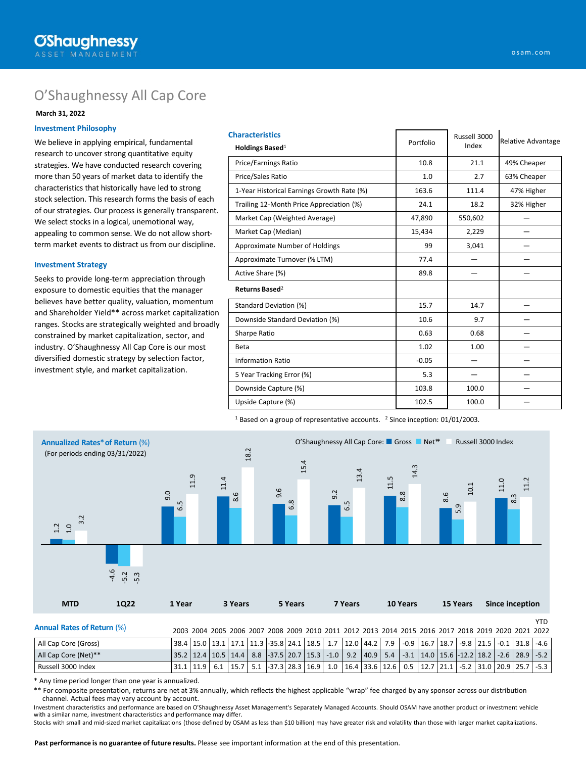# O'Shaughnessy All Cap Core

### **March 31, 2022**

### **Investment Philosophy**

We believe in applying empirical, fundamental research to uncover strong quantitative equity strategies. We have conducted research covering more than 50 years of market data to identify the characteristics that historically have led to strong stock selection. This research forms the basis of each of our strategies. Our process is generally transparent. We select stocks in a logical, unemotional way, appealing to common sense. We do not allow shortterm market events to distract us from our discipline.

#### **Investment Strategy**

Seeks to provide long-term appreciation through exposure to domestic equities that the manager believes have better quality, valuation, momentum and Shareholder Yield\*\* across market capitalization ranges. Stocks are strategically weighted and broadly constrained by market capitalization, sector, and industry. O'Shaughnessy All Cap Core is our most diversified domestic strategy by selection factor, investment style, and market capitalization.

| <b>Characteristics</b><br>Holdings Based <sup>1</sup> | Portfolio | Russell 3000<br>Index | Relative Advantage |  |
|-------------------------------------------------------|-----------|-----------------------|--------------------|--|
| <b>Price/Earnings Ratio</b>                           | 10.8      | 21.1                  | 49% Cheaper        |  |
| Price/Sales Ratio                                     | 1.0       | 2.7                   | 63% Cheaper        |  |
| 1-Year Historical Earnings Growth Rate (%)            | 163.6     | 111.4                 | 47% Higher         |  |
| Trailing 12-Month Price Appreciation (%)              | 24.1      | 18.2                  | 32% Higher         |  |
| Market Cap (Weighted Average)                         | 47,890    | 550,602               |                    |  |
| Market Cap (Median)                                   | 15,434    | 2,229                 |                    |  |
| Approximate Number of Holdings                        | 99        | 3,041                 |                    |  |
| Approximate Turnover (% LTM)                          | 77.4      |                       |                    |  |
| Active Share (%)                                      | 89.8      |                       |                    |  |
| Returns Based <sup>2</sup>                            |           |                       |                    |  |
| Standard Deviation (%)                                | 15.7      | 14.7                  |                    |  |
| Downside Standard Deviation (%)                       | 10.6      | 9.7                   |                    |  |
| Sharpe Ratio                                          | 0.63      | 0.68                  |                    |  |
| Beta                                                  | 1.02      | 1.00                  |                    |  |
| <b>Information Ratio</b>                              | $-0.05$   |                       |                    |  |
| 5 Year Tracking Error (%)                             | 5.3       |                       |                    |  |
| Downside Capture (%)                                  | 103.8     | 100.0                 |                    |  |
| Upside Capture (%)                                    | 102.5     | 100.0                 |                    |  |

<sup>1</sup> Based on a group of representative accounts. <sup>2</sup> Since inception: 01/01/2003.



\* Any time period longer than one year is annualized.

\*\* For composite presentation, returns are net at 3% annually, which reflects the highest applicable "wrap" fee charged by any sponsor across our distribution channel. Actual fees may vary account by account.

Investment characteristics and performance are based on O'Shaughnessy Asset Management's Separately Managed Accounts. Should OSAM have another product or investment vehicle with a similar name, investment characteristics and performance may differ.

Russell 3000 Index 31.1 | 11.9 | 6.1 | 15.7 | 5.1 | -37.3 | 28.3 | 16.9 | 1.0 | 16.4 | 33.6 | 12.6 | 0.5 | 12.7 | 21.1 | -5.2 | 31.0 | 20.9 | 25.7 | -5.3

Stocks with small and mid-sized market capitalizations (those defined by OSAM as less than \$10 billion) may have greater risk and volatility than those with larger market capitalizations.

**Past performance is no guarantee of future results.** Please see important information at the end of this presentation.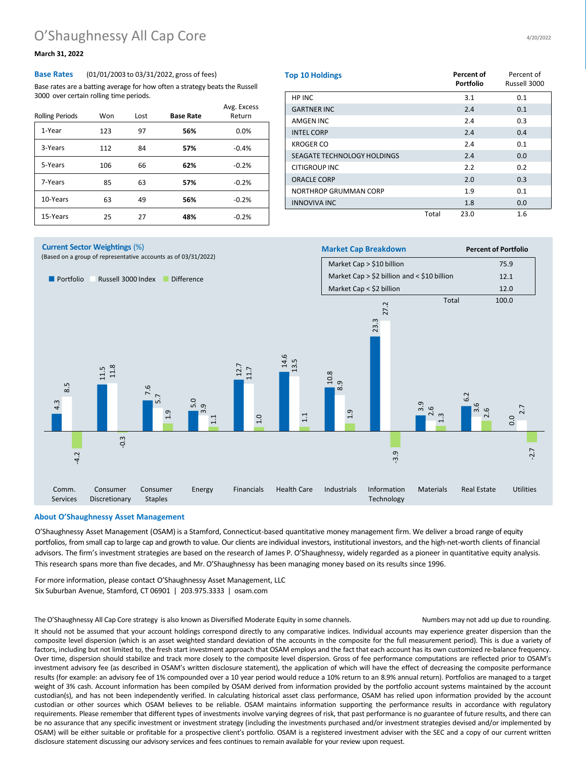# O'Shaughnessy All Cap Core

## **March 31, 2022**

#### **Base Rates** (01/01/2003 to 03/31/2022, gross of fees)

Base rates are a batting average for how often a strategy beats the Russell 3000 over certain rolling time periods.

| <b>Rolling Periods</b> | Won | Lost | <b>Base Rate</b> | Avg. Excess<br>Return |
|------------------------|-----|------|------------------|-----------------------|
| 1-Year                 | 123 | 97   | 56%              | 0.0%                  |
| 3-Years                | 112 | 84   | 57%              | $-0.4%$               |
| 5-Years                | 106 | 66   | 62%              | $-0.2%$               |
| 7-Years                | 85  | 63   | 57%              | $-0.2%$               |
| 10-Years               | 63  | 49   | 56%              | $-0.2%$               |
| 15-Years               | 25  | 27   | 48%              | $-0.2%$               |

| <b>Top 10 Holdings</b>      |       | <b>Percent of</b><br><b>Portfolio</b> | Percent of<br>Russell 3000 |
|-----------------------------|-------|---------------------------------------|----------------------------|
| HP INC                      |       | 3.1                                   | 0.1                        |
| <b>GARTNER INC</b>          |       | 2.4                                   | 0.1                        |
| <b>AMGEN INC</b>            |       | 2.4                                   | 0.3                        |
| <b>INTEL CORP</b>           |       | 2.4                                   | 0.4                        |
| <b>KROGER CO</b>            |       | 2.4                                   | 0.1                        |
| SEAGATE TECHNOLOGY HOLDINGS |       | 2.4                                   | 0.0                        |
| <b>CITIGROUP INC</b>        |       | 2.2                                   | 0.2                        |
| <b>ORACLE CORP</b>          |       | 2.0                                   | 0.3                        |
| NORTHROP GRUMMAN CORP       |       | 1.9                                   | 0.1                        |
| <b>INNOVIVA INC</b>         |       | 1.8                                   | 0.0                        |
|                             | Total | 23.0                                  | 1.6                        |



#### **About O'Shaughnessy Asset Management**

O'Shaughnessy Asset Management (OSAM) is a Stamford, Connecticut-based quantitative money management firm. We deliver a broad range of equity portfolios, from small cap to large cap and growth to value. Our clients are individual investors, institutional investors, and the high-net-worth clients of financial advisors. The firm's investment strategies are based on the research of James P. O'Shaughnessy, widely regarded as a pioneer in quantitative equity analysis. This research spans more than five decades, and Mr. O'Shaughnessy has been managing money based on its results since 1996.

For more information, please contact O'Shaughnessy Asset Management, LLC Six Suburban Avenue, Stamford, CT 06901 | 203.975.3333 | osam.com

The O'Shaughnessy All Cap Core strategy is also known as Diversified Moderate Equity in some channels. Numbers may not add up due to rounding.

It should not be assumed that your account holdings correspond directly to any comparative indices. Individual accounts may experience greater dispersion than the composite level dispersion (which is an asset weighted standard deviation of the accounts in the composite for the full measurement period). This is due a variety of factors, including but not limited to, the fresh start investment approach that OSAM employs and the fact that each account has its own customized re-balance frequency. Over time, dispersion should stabilize and track more closely to the composite level dispersion. Gross of fee performance computations are reflected prior to OSAM's investment advisory fee (as described in OSAM's written disclosure statement), the application of which will have the effect of decreasing the composite performance results (for example: an advisory fee of 1% compounded over a 10 year period would reduce a 10% return to an 8.9% annual return). Portfolios are managed to a target weight of 3% cash. Account information has been compiled by OSAM derived from information provided by the portfolio account systems maintained by the account custodian(s), and has not been independently verified. In calculating historical asset class performance, OSAM has relied upon information provided by the account custodian or other sources which OSAM believes to be reliable. OSAM maintains information supporting the performance results in accordance with regulatory requirements. Please remember that different types of investments involve varying degrees of risk, that past performance is no guarantee of future results, and there can be no assurance that any specific investment or investment strategy (including the investments purchased and/or investment strategies devised and/or implemented by OSAM) will be either suitable or profitable for a prospective client's portfolio. OSAM is a registered investment adviser with the SEC and a copy of our current written disclosure statement discussing our advisory services and fees continues to remain available for your review upon request.